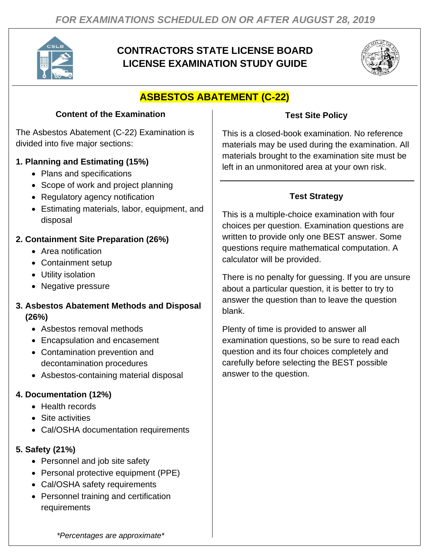

## **CONTRACTORS STATE LICENSE BOARD LICENSE EXAMINATION STUDY GUIDE**



# **ASBESTOS ABATEMENT (C-22)**

#### **Content of the Examination**

The Asbestos Abatement (C-22) Examination is divided into five major sections:

## **1. Planning and Estimating (15%)**

- Plans and specifications
- Scope of work and project planning
- Regulatory agency notification
- Estimating materials, labor, equipment, and disposal

## **2. Containment Site Preparation (26%)**

- Area notification
- Containment setup
- Utility isolation
- Negative pressure

#### **3. Asbestos Abatement Methods and Disposal (26%)**

- Asbestos removal methods
- Encapsulation and encasement
- Contamination prevention and decontamination procedures
- Asbestos-containing material disposal

## **4. Documentation (12%)**

- Health records
- Site activities
- Cal/OSHA documentation requirements

## **5. Safety (21%)**

- Personnel and job site safety
- Personal protective equipment (PPE)
- Cal/OSHA safety requirements
- Personnel training and certification requirements

## **Test Site Policy**

This is a closed-book examination. No reference materials may be used during the examination. All materials brought to the examination site must be left in an unmonitored area at your own risk.

## **Test Strategy**

This is a multiple-choice examination with four choices per question. Examination questions are written to provide only one BEST answer. Some questions require mathematical computation. A calculator will be provided.

There is no penalty for guessing. If you are unsure about a particular question, it is better to try to answer the question than to leave the question blank.

Plenty of time is provided to answer all examination questions, so be sure to read each question and its four choices completely and carefully before selecting the BEST possible answer to the question.